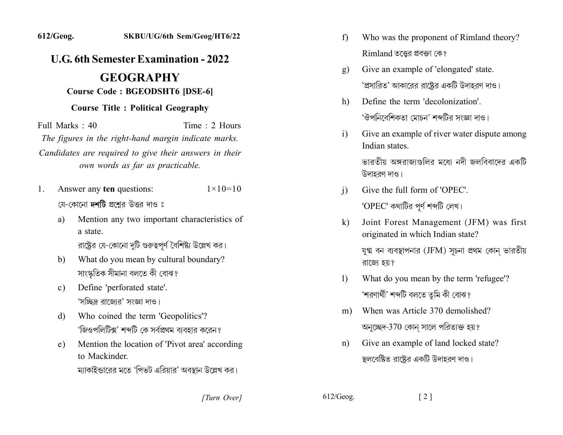## *L.G.* 6th Semester Examination - 2022

## **.2Y.YYY2Y**  $$

## **Course Title: Political Geography**

 $Full Marks: 40$  Time 2 Hours The figures in the right-hand margin indicate marks. Candidates are required to give their answers in their *own words as far as practicable.* 

- 1. Answer any **ten** questions:  $1 \times 10=10$ যে-কোনো দশটি প্রশ্নের উত্তর দাও ঃ
	- a) Mention any two important characteristics of a state. রাষ্ট্রের যে-কোনো দুটি গুরুত্বপূর্ণ বৈশিষ্ট্য উল্লেখ কর।
	- b) What do you mean by cultural boundary? সাংস্কৃতিক সীমানা বলতে কী বোঝ?
	- c) Define 'perforated state'. 'সচ্ছিদ্র রাজোর' সংজ্ঞা দাও।
	- d) Who coined the term 'Geopolitics'? 'জিওপলিটিক্স' শব্দটি কে সর্বপ্রথম ব্যবহার করেন?
	- e) Mention the location of 'Pivot area' according. to Mackinder ম্যাকাইন্ডারের মতে 'পিভট এরিয়ার' অবস্থান উল্লেখ কর।
- f) Who was the proponent of Rimland theory?  $R$ imland তত্তের প্রবক্তা কে?
- g) Give an example of 'elongated' state. 'প্রসারিত' আকারের রাষ্ট্রের একটি উদাহরণ দাও।
- h) Define the term 'decolonization'. 'ঔপনিবেশিকতা মোচন' শব্দটির সংজ্ঞা দাও।
- i) Give an example of river water dispute among Indian states

ভারতীয় অঙ্গরাজ্যগুলির মধ্যে নদী জলবিবাদের একটি উদাহরণ দাও।

- $i)$  Give the full form of 'OPEC'. 'OPEC' কথাটির পূর্ণ শব্দটি লেখ।
- k) Joint Forest Management (JFM) was first originated in which Indian state?

যুগ্ম বন ব্যবস্থাপনার (JFM) সূচনা প্রথম কোন ভারতীয় রাজ্যে হয়?

- 1) What do you mean by the term 'refugee'? 'শরণার্থী' শব্দটি বলতে তুমি কী বোঝ?
- m) When was Article 370 demolished? অনুচ্ছেদ-370 কোন সালে পরিত্যক্ত হয়?
- n) Give an example of land locked state? স্থলবেষ্টিত রাষ্ট্রের একটি উদাহরণ দাও।

*[2]* [2] *[2]* [3]  $\frac{612}{\text{Geog.}}$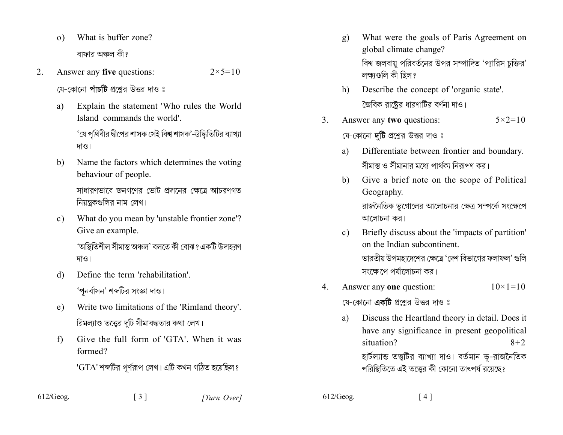- What is buffer zone?  $\Omega$ ) বাফার অঞ্চল কী?
- Answer any five questions: 2.  $2 \times 5 = 10$ য়ে-কোনো **পাঁচটি** প্রশ্নের উত্তর দাও ঃ
	- Explain the statement 'Who rules the World a) Island commands the world'

'যে পৃথিবীর দ্বীপের শাসক সেই বি**শ্ব** শাসক'-উদ্ধিতিটির ব্যাখ্যা দাও।

- Name the factors which determines the voting b) behaviour of people. সাধারণভাবে জনগণের ভোট প্রদানের ক্ষেত্রে আচরণগত নিয়ন্ত্রকগুলির নাম লেখ।
- What do you mean by 'unstable frontier zone'?  $c)$ Give an example.

'অস্তিতিশীল সীমান্ত অঞ্চল' বলতে কী বোঝ? একটি উদাহরণ দাও।

- Define the term 'rehabilitation'  $\mathcal{A}$ 'পনর্বাসন' শব্দটির সংজ্ঞা দাও।
- Write two limitations of the 'Rimland theory'.  $e)$ রিমল্যাণ্ড তত্ত্বের দুটি সীমাবদ্ধতার কথা লেখ।
- Give the full form of 'GTA' When it was  $f$ formed?

 $\lceil 3 \rceil$ 

'GTA' শব্দটির পূর্ণরূপ লেখ। এটি কখন গঠিত হয়েছিল?

- What were the goals of Paris Agreement on g) global climate change? বিশ্ব জলবায়ু পরিবর্তনের উপর সম্পাদিত 'প্যারিস চক্তির' লক্ষণ্ডলি কী ছিল?
- Describe the concept of 'organic state'. h) জৈবিক রাষ্ট্রের ধারণাটির বর্ণনা দাও।
- $\mathcal{E}$ Answer any two questions:  $5 \times 2 = 10$ যে-কোনো **দটি** প্রশ্নের উত্তর দাও ঃ
	- Differentiate between frontier and boundary. a) সীমান্ত ও সীমানার মধ্যে পার্থকা নিরূপণ কর।
	- Give a brief note on the scope of Political  $b)$ Geography. রাজনৈতিক ভূগোলের আলোচনার ক্ষেত্র সম্পর্কে সংক্ষেপে আলোচনা কর।
	- Briefly discuss about the 'impacts of partition'  $c)$ on the Indian subcontinent ভারতীয় উপমহাদেশের ক্ষেত্রে 'দেশ বিভাগের ফলাফল' গুলি সংক্ষেপে পর্যালোচনা কর।
- Answer any one question:  $10 \times 1 = 10$ 4.

যে-কোনো **একটি** প্রশ্নের উত্তর দাও ঃ

Discuss the Heartland theory in detail. Does it a) have any significance in present geopolitical situation?  $8 + 2$ হার্টল্যান্ড তত্তুটির ব্যাখ্যা দাও। বর্তমান ভূ-রাজনৈতিক পরিস্থিতিতে এই তত্তের কী কোনো তাৎপর্য রয়েছে?

 $612/Geog.$